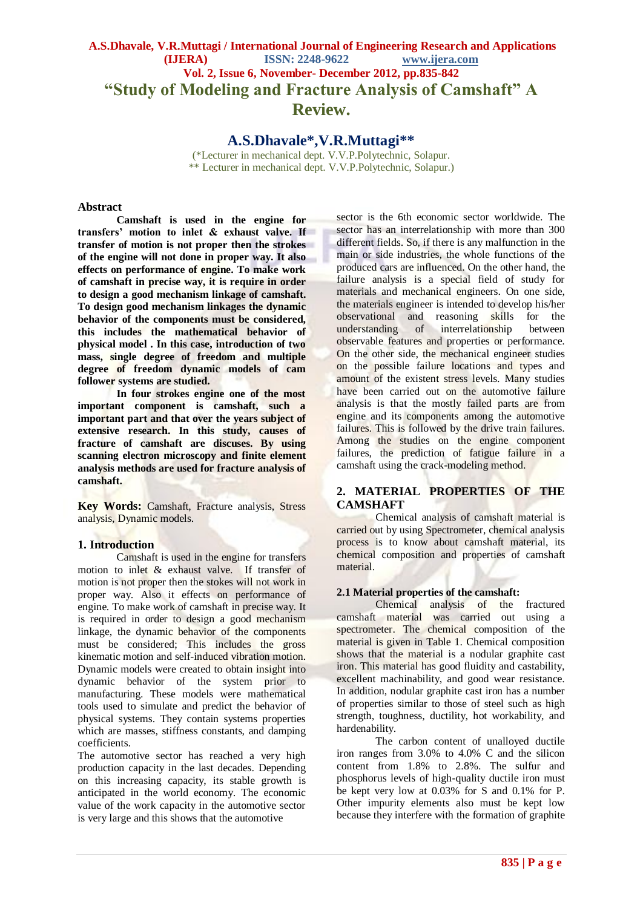# **A.S.Dhavale, V.R.Muttagi / International Journal of Engineering Research and Applications (IJERA) ISSN: 2248-9622 www.ijera.com Vol. 2, Issue 6, November- December 2012, pp.835-842 "Study of Modeling and Fracture Analysis of Camshaft" A Review.**

**A.S.Dhavale\*,V.R.Muttagi\*\***

(\*Lecturer in mechanical dept. V.V.P.Polytechnic, Solapur. \*\* Lecturer in mechanical dept. V.V.P.Polytechnic, Solapur.)

## **Abstract**

**Camshaft is used in the engine for transfers' motion to inlet & exhaust valve. If transfer of motion is not proper then the strokes of the engine will not done in proper way. It also effects on performance of engine. To make work of camshaft in precise way, it is require in order to design a good mechanism linkage of camshaft. To design good mechanism linkages the dynamic behavior of the components must be considered, this includes the mathematical behavior of physical model . In this case, introduction of two mass, single degree of freedom and multiple degree of freedom dynamic models of cam follower systems are studied.** 

**In four strokes engine one of the most important component is camshaft, such a important part and that over the years subject of extensive research. In this study, causes of fracture of camshaft are discuses. By using scanning electron microscopy and finite element analysis methods are used for fracture analysis of camshaft.** 

**Key Words:** Camshaft, Fracture analysis, Stress analysis, Dynamic models.

# **1. Introduction**

Camshaft is used in the engine for transfers motion to inlet & exhaust valve. If transfer of motion is not proper then the stokes will not work in proper way. Also it effects on performance of engine. To make work of camshaft in precise way. It is required in order to design a good mechanism linkage, the dynamic behavior of the components must be considered; This includes the gross kinematic motion and self-induced vibration motion. Dynamic models were created to obtain insight into dynamic behavior of the system prior to manufacturing. These models were mathematical tools used to simulate and predict the behavior of physical systems. They contain systems properties which are masses, stiffness constants, and damping coefficients.

The automotive sector has reached a very high production capacity in the last decades. Depending on this increasing capacity, its stable growth is anticipated in the world economy. The economic value of the work capacity in the automotive sector is very large and this shows that the automotive

sector is the 6th economic sector worldwide. The sector has an interrelationship with more than 300 different fields. So, if there is any malfunction in the main or side industries, the whole functions of the produced cars are influenced. On the other hand, the failure analysis is a special field of study for materials and mechanical engineers. On one side, the materials engineer is intended to develop his/her observational and reasoning skills for the understanding of interrelationship between of interrelationship between observable features and properties or performance. On the other side, the mechanical engineer studies on the possible failure locations and types and amount of the existent stress levels. Many studies have been carried out on the automotive failure analysis is that the mostly failed parts are from engine and its components among the automotive failures. This is followed by the drive train failures. Among the studies on the engine component failures, the prediction of fatigue failure in a camshaft using the crack-modeling method.

# **2. MATERIAL PROPERTIES OF THE CAMSHAFT**

Chemical analysis of camshaft material is carried out by using Spectrometer, chemical analysis process is to know about camshaft material, its chemical composition and properties of camshaft material.

# **2.1 Material properties of the camshaft:**

Chemical analysis of the fractured camshaft material was carried out using a spectrometer. The chemical composition of the material is given in Table 1. Chemical composition shows that the material is a nodular graphite cast iron. This material has good fluidity and castability, excellent machinability, and good wear resistance. In addition, nodular graphite cast iron has a number of properties similar to those of steel such as high strength, toughness, ductility, hot workability, and hardenability.

The carbon content of unalloyed ductile iron ranges from 3.0% to 4.0% C and the silicon content from 1.8% to 2.8%. The sulfur and phosphorus levels of high-quality ductile iron must be kept very low at 0.03% for S and 0.1% for P. Other impurity elements also must be kept low because they interfere with the formation of graphite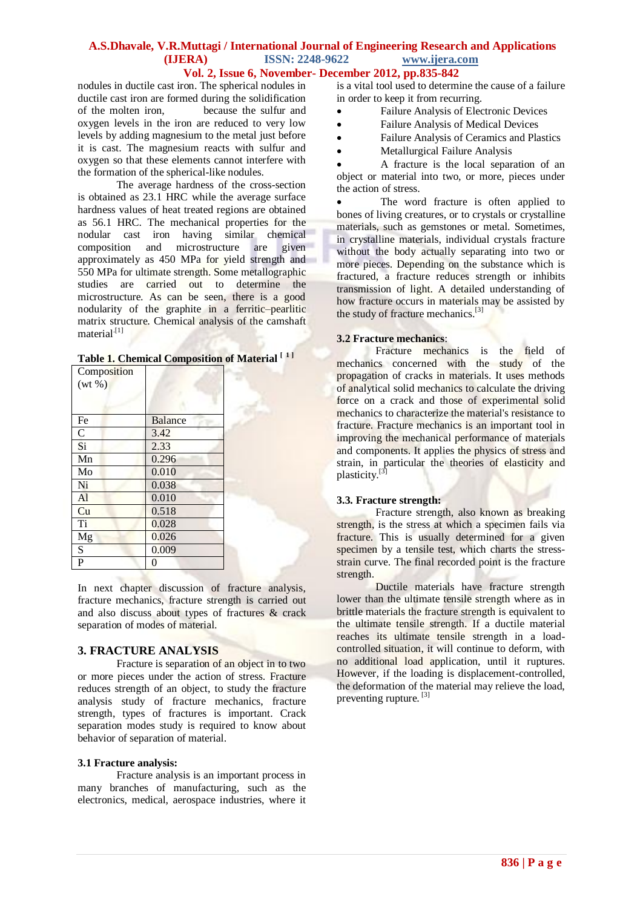# **A.S.Dhavale, V.R.Muttagi / International Journal of Engineering Research and Applications (IJERA) ISSN: 2248-9622 www.ijera.com**

# **Vol. 2, Issue 6, November- December 2012, pp.835-842**

nodules in ductile cast iron. The spherical nodules in ductile cast iron are formed during the solidification of the molten iron, because the sulfur and oxygen levels in the iron are reduced to very low levels by adding magnesium to the metal just before it is cast. The magnesium reacts with sulfur and oxygen so that these elements cannot interfere with the formation of the spherical-like nodules.

The average hardness of the cross-section is obtained as 23.1 HRC while the average surface hardness values of heat treated regions are obtained as 56.1 HRC. The mechanical properties for the nodular cast iron having similar chemical composition and microstructure are given approximately as 450 MPa for yield strength and 550 MPa for ultimate strength. Some metallographic studies are carried out to determine the microstructure. As can be seen, there is a good nodularity of the graphite in a ferritic–pearlitic matrix structure. Chemical analysis of the camshaft material $^{[1]}$ 

|  |  | Table 1. Chemical Composition of Material <sup>[1]</sup> |  |  |
|--|--|----------------------------------------------------------|--|--|
|--|--|----------------------------------------------------------|--|--|

| Composition    |                |
|----------------|----------------|
| $(wt\% )$      |                |
|                |                |
| Fe             | <b>Balance</b> |
| $\overline{C}$ | 3.42           |
| Si             | 2.33           |
| Mn             | 0.296          |
| Mo             | 0.010          |
| Ni             | 0.038          |
| Al             | 0.010          |
| Cu             | 0.518          |
| Ti             | 0.028          |
| Mg             | 0.026          |
| S              | 0.009          |
| $\overline{P}$ | 0              |

In next chapter discussion of fracture analysis, fracture mechanics, fracture strength is carried out and also discuss about types of fractures & crack separation of modes of material.

# **3. FRACTURE ANALYSIS**

Fracture is separation of an object in to two or more pieces under the action of stress. Fracture reduces strength of an object, to study the fracture analysis study of fracture mechanics, fracture strength, types of fractures is important. Crack separation modes study is required to know about behavior of separation of material.

## **3.1 Fracture analysis:**

Fracture analysis is an important process in many branches of manufacturing, such as the electronics, medical, aerospace industries, where it is a vital tool used to determine the cause of a failure in order to keep it from recurring.

- Failure Analysis of Electronic Devices
- Failure Analysis of Medical Devices
- Failure Analysis of Ceramics and Plastics
- Metallurgical Failure Analysis

 A fracture is the local separation of an object or material into two, or more, pieces under the action o[f stress.](http://en.wikipedia.org/wiki/Stress_(physics))

• The word fracture is often applied to [bones](http://en.wikipedia.org/wiki/Bone) of living creatures, or t[o crystals](http://en.wikipedia.org/wiki/Crystal) or crystalline materials, such as [gemstones](http://en.wikipedia.org/wiki/Gemstone) or [metal.](http://en.wikipedia.org/wiki/Metal) Sometimes, in crystalline materials, individual crystals fracture without the body actually separating into two or more pieces. Depending on the substance which is fractured, a fracture reduces [strength](http://en.wikipedia.org/wiki/Strength_of_materials) or inhibits [transmission](http://en.wikipedia.org/wiki/Transmission_(telecommunications)) of [light.](http://en.wikipedia.org/wiki/Light) A detailed understanding of how fracture occurs in materials may be assisted by the study o[f fracture mechanics.](http://en.wikipedia.org/wiki/Fracture_mechanics)<sup>[3]</sup>

## **3.2 [Fracture mechanics](http://en.wikipedia.org/wiki/Fracture_mechanics)**:

Fracture mechanics is the field of [mechanics](http://en.wikipedia.org/wiki/Mechanics) concerned with the study of the propagation of cracks in materials. It uses methods of analytical [solid mechanics](http://en.wikipedia.org/wiki/Solid_mechanics) to calculate the driving force on a crack and those of experimental solid mechanics to characterize the material's resistance to [fracture.](http://en.wikipedia.org/wiki/Fracture) Fracture mechanics is an important tool in improving the mechanical performance of materials and components. It applies the [physics](http://en.wikipedia.org/wiki/Physics) of [stress](http://en.wikipedia.org/wiki/Stress_(physics)) and [strain,](http://en.wikipedia.org/wiki/Strain_(materials_science)) in particular the theories of [elasticity](http://en.wikipedia.org/wiki/Elasticity_(physics)) and [plasticity.](http://en.wikipedia.org/wiki/Plasticity_(physics))<sup>[3]</sup>

## **3.3. Fracture strength:**

Fracture strength, also known as breaking strength, is the stress at which a specimen fails via fracture. This is usually determined for a given specimen by a [tensile test,](http://en.wikipedia.org/wiki/Tensile_test) which charts the [stress](http://en.wikipedia.org/wiki/Stress-strain_curve)[strain curve.](http://en.wikipedia.org/wiki/Stress-strain_curve) The final recorded point is the fracture strength.

[Ductile](http://en.wikipedia.org/wiki/Ductile) materials have fracture strength lower than the [ultimate tensile strength](http://en.wikipedia.org/wiki/Ultimate_tensile_strength) where as in [brittle](http://en.wikipedia.org/wiki/Brittle) materials the fracture strength is equivalent to the [ultimate tensile strength.](http://en.wikipedia.org/wiki/Ultimate_tensile_strength) If a ductile material reaches its ultimate tensile strength in a loadcontrolled situation, it will continue to deform, with no additional load application, until it [ruptures.](http://en.wikipedia.org/wiki/Rupture_(engineering)) However, if the loading is displacement-controlled, the deformation of the material may relieve the load, preventing rupture.<sup>[3]</sup>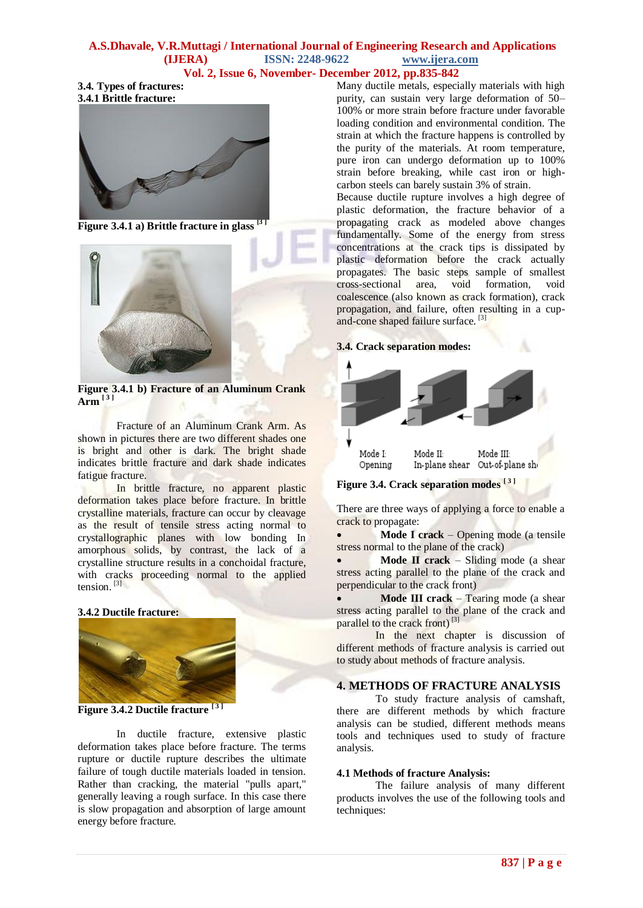# **A.S.Dhavale, V.R.Muttagi / International Journal of Engineering Research and Applications (IJERA) ISSN: 2248-9622 www.ijera.com**

# **Vol. 2, Issue 6, November- December 2012, pp.835-842**

**3.4. Types of fractures: 3.4.1 Brittle fracture:**



**Figure 3.4.1 a) Brittle fracture i[n glass](http://en.wikipedia.org/wiki/Glass) [3 ]**



**Figure 3.4.1 b) Fracture of an Aluminum Crank Arm [ <sup>3</sup> ]**

Fracture of an Aluminum Crank Arm. As shown in pictures there are two different shades one is bright and other is dark. The bright shade indicates brittle fracture and dark shade indicates fatigue fracture.

In [brittle](http://en.wikipedia.org/wiki/Brittle) fracture, no apparent [plastic](http://en.wikipedia.org/wiki/Plasticity_(physics))  [deformation](http://en.wikipedia.org/wiki/Plasticity_(physics)) takes place before fracture. In brittle crystalline materials, fracture can occur by [cleavage](http://en.wikipedia.org/wiki/Cleavage_(crystal)) as the result of [tensile stress](http://en.wikipedia.org/wiki/Tensile_stress) acting normal to crystallographic planes with low bonding In [amorphous solids,](http://en.wikipedia.org/wiki/Amorphous_solid) by contrast, the lack of a crystalline structure results in a [conchoidal fracture,](http://en.wikipedia.org/wiki/Conchoidal_fracture) with cracks proceeding normal to the applied tension. [3]

# **3.4.2 Ductile fracture:**



**Figure 3.4.2 Ductile fracture [ 3 ]**

In [ductile](http://en.wikipedia.org/wiki/Ductile) fracture, extensive plastic deformation takes place before fracture. The terms rupture or ductile rupture describes the [ultimate](http://en.wikipedia.org/wiki/Ultimate_failure)  [failure](http://en.wikipedia.org/wiki/Ultimate_failure) of [tough](http://en.wikipedia.org/wiki/Toughness) ductile materials loaded in tension. Rather than cracking, the material "pulls apart," generally leaving a rough surface. In this case there is slow propagation and absorption of large amount energy before fracture.

Many ductile metals, especially materials with high purity, can sustain very large deformation of 50– 100% or mor[e strain before](http://en.wikipedia.org/wiki/Strain_(materials_science)) fracture under favorable loading condition and environmental condition. The strain at which the fracture happens is controlled by the purity of the materials. At room temperature, pure [iron](http://en.wikipedia.org/wiki/Iron) can undergo deformation up to 100% strain before breaking, while [cast iron](http://en.wikipedia.org/wiki/Cast_iron) or [high](http://en.wikipedia.org/wiki/Plain-carbon_steel)[carbon steels](http://en.wikipedia.org/wiki/Plain-carbon_steel) can barely sustain 3% of strain.

Because ductile rupture involves a high degree of plastic deformation, the fracture behavior of a propagating crack as modeled above changes fundamentally. Some of the energy from stress concentrations at the crack tips is dissipated by plastic deformation before the crack actually propagates. The basic steps sample of smallest cross-sectional area, void formation, void coalescence (also known as crack formation), crack propagation, and failure, often resulting in a cupand-cone shaped failure surface.<sup>[3]</sup>

## **3.4. Crack separation modes:**



**Figure 3.4. Crack separation modes [ <sup>3</sup> ]**

There are three ways of applying a force to enable a crack to propagate:

 **Mode I crack** – Opening mode (a [tensile](http://en.wikipedia.org/wiki/Tensile_stress)  [stress](http://en.wikipedia.org/wiki/Tensile_stress) normal to the plane of the crack)

 **Mode II crack** – Sliding mode (a [shear](http://en.wikipedia.org/wiki/Shear_stress)  [stress](http://en.wikipedia.org/wiki/Shear_stress) acting parallel to the plane of the crack and perpendicular to the crack front)

 **Mode III crack** – Tearing mode (a [shear](http://en.wikipedia.org/wiki/Shear_stress)  [stress](http://en.wikipedia.org/wiki/Shear_stress) acting parallel to the plane of the crack and parallel to the crack front)<sup>[3]</sup>

In the next chapter is discussion of different methods of fracture analysis is carried out to study about methods of fracture analysis.

# **4. METHODS OF FRACTURE ANALYSIS**

To study fracture analysis of camshaft, there are different methods by which fracture analysis can be studied, different methods means tools and techniques used to study of fracture analysis.

## **4.1 Methods of fracture Analysis:**

The failure analysis of many different products involves the use of the following tools and techniques: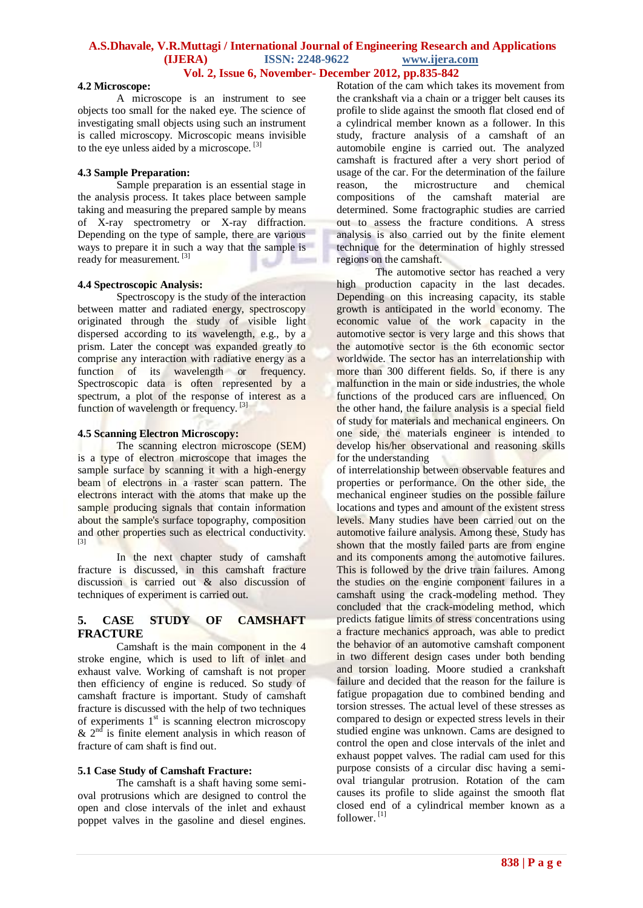#### **4.2 Microscope:**

A microscope is an [instrument](http://en.wikipedia.org/wiki/Laboratory_equipment) to see objects too small for the naked eye. The science of investigating small objects using such an instrument is called [microscopy.](http://en.wikipedia.org/wiki/Microscopy) [Microscopic](http://en.wikipedia.org/wiki/Microscopic) means invisible to the eye unless aided by a microscope.<sup>[3]</sup>

#### **4.3 Sample Preparation:**

Sample preparation is an essential stage in the analysis process. It takes place between sample taking and measuring the prepared sample by means of X-ray spectrometry or X-ray diffraction. Depending on the type of sample, there are various ways to prepare it in such a way that the sample is ready for measurement. [3]

#### **4.4 Spectroscopic Analysis:**

Spectroscopy is the study of the interaction between [matter](http://en.wikipedia.org/wiki/Matter) and [radiated energy,](http://en.wikipedia.org/wiki/Radiation) spectroscopy originated through the study of [visible light](http://en.wikipedia.org/wiki/Visible_light) dispersed according to its [wavelength,](http://en.wikipedia.org/wiki/Wavelength) e.g., by a [prism.](http://en.wikipedia.org/wiki/Prism_(optics)) Later the concept was expanded greatly to comprise any interaction with radiative energy as a function of its wavelength or [frequency.](http://en.wikipedia.org/wiki/Frequency) Spectroscopic data is often represented by a [spectrum,](http://en.wikipedia.org/wiki/Spectrum) a plot of the response of interest as a function of wavelength or frequency. [3]

## **4.5 Scanning Electron Microscopy:**

The scanning electron microscope (SEM) is a type of [electron microscope](http://en.wikipedia.org/wiki/Electron_microscope) that images the sample surface by scanning it with a high-energy beam of [electrons](http://en.wikipedia.org/wiki/Electron) in a [raster scan](http://en.wikipedia.org/wiki/Raster_scan) pattern. The electrons interact with the atoms that make up the sample producing signals that contain information about the sample's surface [topography,](http://en.wikipedia.org/wiki/Topography) composition and other properties such as [electrical conductivity.](http://en.wikipedia.org/wiki/Electrical_conductivity) [3]

In the next chapter study of camshaft fracture is discussed, in this camshaft fracture discussion is carried out & also discussion of techniques of experiment is carried out.

## **5. CASE STUDY OF CAMSHAFT FRACTURE**

Camshaft is the main component in the 4 stroke engine, which is used to lift of inlet and exhaust valve. Working of camshaft is not proper then efficiency of engine is reduced. So study of camshaft fracture is important. Study of camshaft fracture is discussed with the help of two techniques of experiments  $1<sup>st</sup>$  is scanning electron microscopy  $\&$  2<sup>nd</sup> is finite element analysis in which reason of fracture of cam shaft is find out.

#### **5.1 Case Study of Camshaft Fracture:**

The camshaft is a shaft having some semioval protrusions which are designed to control the open and close intervals of the inlet and exhaust poppet valves in the gasoline and diesel engines. Rotation of the cam which takes its movement from the crankshaft via a chain or a trigger belt causes its profile to slide against the smooth flat closed end of a cylindrical member known as a follower. In this study, fracture analysis of a camshaft of an automobile engine is carried out. The analyzed camshaft is fractured after a very short period of usage of the car. For the determination of the failure reason, the microstructure and chemical compositions of the camshaft material are determined. Some fractographic studies are carried out to assess the fracture conditions. A stress analysis is also carried out by the finite element technique for the determination of highly stressed regions on the camshaft.

The automotive sector has reached a very high production capacity in the last decades. Depending on this increasing capacity, its stable growth is anticipated in the world economy. The economic value of the work capacity in the automotive sector is very large and this shows that the automotive sector is the 6th economic sector worldwide. The sector has an interrelationship with more than 300 different fields. So, if there is any malfunction in the main or side industries, the whole functions of the produced cars are influenced. On the other hand, the failure analysis is a special field of study for materials and mechanical engineers. On one side, the materials engineer is intended to develop his/her observational and reasoning skills for the understanding

of interrelationship between observable features and properties or performance. On the other side, the mechanical engineer studies on the possible failure locations and types and amount of the existent stress levels. Many studies have been carried out on the automotive failure analysis. Among these, Study has shown that the mostly failed parts are from engine and its components among the automotive failures. This is followed by the drive train failures. Among the studies on the engine component failures in a camshaft using the crack-modeling method. They concluded that the crack-modeling method, which predicts fatigue limits of stress concentrations using a fracture mechanics approach, was able to predict the behavior of an automotive camshaft component in two different design cases under both bending and torsion loading. Moore studied a crankshaft failure and decided that the reason for the failure is fatigue propagation due to combined bending and torsion stresses. The actual level of these stresses as compared to design or expected stress levels in their studied engine was unknown. Cams are designed to control the open and close intervals of the inlet and exhaust poppet valves. The radial cam used for this purpose consists of a circular disc having a semioval triangular protrusion. Rotation of the cam causes its profile to slide against the smooth flat closed end of a cylindrical member known as a follower. [1]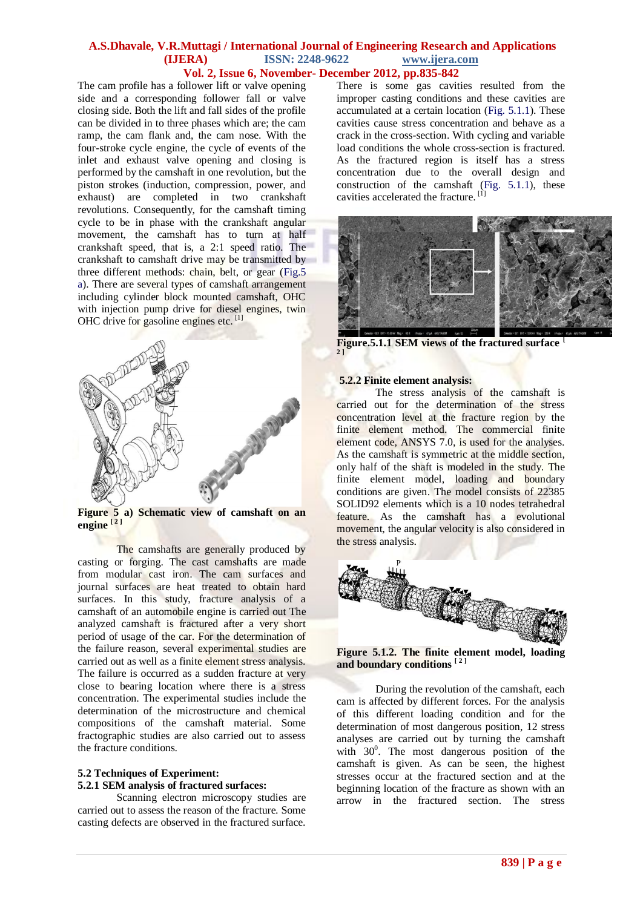The cam profile has a follower lift or valve opening side and a corresponding follower fall or valve closing side. Both the lift and fall sides of the profile can be divided in to three phases which are; the cam ramp, the cam flank and, the cam nose. With the four-stroke cycle engine, the cycle of events of the inlet and exhaust valve opening and closing is performed by the camshaft in one revolution, but the piston strokes (induction, compression, power, and exhaust) are completed in two crankshaft revolutions. Consequently, for the camshaft timing cycle to be in phase with the crankshaft angular movement, the camshaft has to turn at half crankshaft speed, that is, a 2:1 speed ratio. The crankshaft to camshaft drive may be transmitted by three different methods: chain, belt, or gear (Fig.5 a). There are several types of camshaft arrangement including cylinder block mounted camshaft, OHC with injection pump drive for diesel engines, twin OHC drive for gasoline engines etc.<sup>[1]</sup>



**Figure 5 a) Schematic view of camshaft on an engine [ <sup>2</sup> ]**

The camshafts are generally produced by casting or forging. The cast camshafts are made from modular cast iron. The cam surfaces and journal surfaces are heat treated to obtain hard surfaces. In this study, fracture analysis of a camshaft of an automobile engine is carried out The analyzed camshaft is fractured after a very short period of usage of the car. For the determination of the failure reason, several experimental studies are carried out as well as a finite element stress analysis. The failure is occurred as a sudden fracture at very close to bearing location where there is a stress concentration. The experimental studies include the determination of the microstructure and chemical compositions of the camshaft material. Some fractographic studies are also carried out to assess the fracture conditions.

# **5.2 Techniques of Experiment: 5.2.1 SEM analysis of fractured surfaces:**

Scanning electron microscopy studies are carried out to assess the reason of the fracture. Some casting defects are observed in the fractured surface.

There is some gas cavities resulted from the improper casting conditions and these cavities are accumulated at a certain location (Fig. 5.1.1). These cavities cause stress concentration and behave as a crack in the cross-section. With cycling and variable load conditions the whole cross-section is fractured. As the fractured region is itself has a stress concentration due to the overall design and construction of the camshaft (Fig. 5.1.1), these cavities accelerated the fracture. [1]



**Figure.5.1.1 SEM views of the fractured surface 2 ]**

## **5.2.2 Finite element analysis:**

The stress analysis of the camshaft is carried out for the determination of the stress concentration level at the fracture region by the finite element method. The commercial finite element code, ANSYS 7.0, is used for the analyses. As the camshaft is symmetric at the middle section, only half of the shaft is modeled in the study. The finite element model, loading and boundary conditions are given. The model consists of 22385 SOLID92 elements which is a 10 nodes tetrahedral feature. As the camshaft has a evolutional movement, the angular velocity is also considered in the stress analysis.



**Figure 5.1.2. The finite element model, loading and boundary conditions [ <sup>2</sup> ]**

During the revolution of the camshaft, each cam is affected by different forces. For the analysis of this different loading condition and for the determination of most dangerous position, 12 stress analyses are carried out by turning the camshaft with  $30^0$ . The most dangerous position of the camshaft is given. As can be seen, the highest stresses occur at the fractured section and at the beginning location of the fracture as shown with an arrow in the fractured section. The stress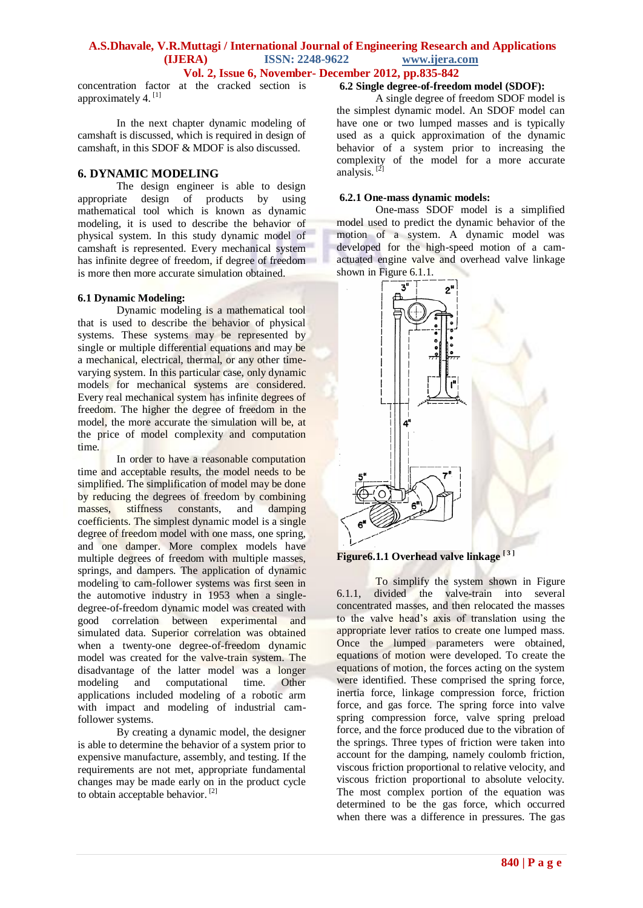# **A.S.Dhavale, V.R.Muttagi / International Journal of Engineering Research and Applications (IJERA) ISSN: 2248-9622 www.ijera.com**

**Vol. 2, Issue 6, November- December 2012, pp.835-842**

concentration factor at the cracked section is approximately 4.<sup>[1]</sup>

In the next chapter dynamic modeling of camshaft is discussed, which is required in design of camshaft, in this SDOF & MDOF is also discussed.

## **6. DYNAMIC MODELING**

The design engineer is able to design appropriate design of products by using mathematical tool which is known as dynamic modeling, it is used to describe the behavior of physical system. In this study dynamic model of camshaft is represented. Every mechanical system has infinite degree of freedom, if degree of freedom is more then more accurate simulation obtained.

## **6.1 Dynamic Modeling:**

Dynamic modeling is a mathematical tool that is used to describe the behavior of physical systems. These systems may be represented by single or multiple differential equations and may be a mechanical, electrical, thermal, or any other timevarying system. In this particular case, only dynamic models for mechanical systems are considered. Every real mechanical system has infinite degrees of freedom. The higher the degree of freedom in the model, the more accurate the simulation will be, at the price of model complexity and computation time.

In order to have a reasonable computation time and acceptable results, the model needs to be simplified. The simplification of model may be done by reducing the degrees of freedom by combining masses, stiffness constants, and damping coefficients. The simplest dynamic model is a single degree of freedom model with one mass, one spring, and one damper. More complex models have multiple degrees of freedom with multiple masses, springs, and dampers. The application of dynamic modeling to cam-follower systems was first seen in the automotive industry in 1953 when a singledegree-of-freedom dynamic model was created with good correlation between experimental and simulated data. Superior correlation was obtained when a twenty-one degree-of-freedom dynamic model was created for the valve-train system. The disadvantage of the latter model was a longer modeling and computational time. Other applications included modeling of a robotic arm with impact and modeling of industrial camfollower systems.

By creating a dynamic model, the designer is able to determine the behavior of a system prior to expensive manufacture, assembly, and testing. If the requirements are not met, appropriate fundamental changes may be made early on in the product cycle to obtain acceptable behavior. [2]

## **6.2 Single degree-of-freedom model (SDOF):**

A single degree of freedom SDOF model is the simplest dynamic model. An SDOF model can have one or two lumped masses and is typically used as a quick approximation of the dynamic behavior of a system prior to increasing the complexity of the model for a more accurate analysis. [2]

#### **6.2.1 One-mass dynamic models:**

One-mass SDOF model is a simplified model used to predict the dynamic behavior of the motion of a system. A dynamic model was developed for the high-speed motion of a camactuated engine valve and overhead valve linkage shown in Figure 6.1.1.



**Figure6.1.1 Overhead valve linkage [ <sup>3</sup> ]**

To simplify the system shown in Figure 6.1.1, divided the valve-train into several concentrated masses, and then relocated the masses to the valve head's axis of translation using the appropriate lever ratios to create one lumped mass. Once the lumped parameters were obtained, equations of motion were developed. To create the equations of motion, the forces acting on the system were identified. These comprised the spring force, inertia force, linkage compression force, friction force, and gas force. The spring force into valve spring compression force, valve spring preload force, and the force produced due to the vibration of the springs. Three types of friction were taken into account for the damping, namely coulomb friction, viscous friction proportional to relative velocity, and viscous friction proportional to absolute velocity. The most complex portion of the equation was determined to be the gas force, which occurred when there was a difference in pressures. The gas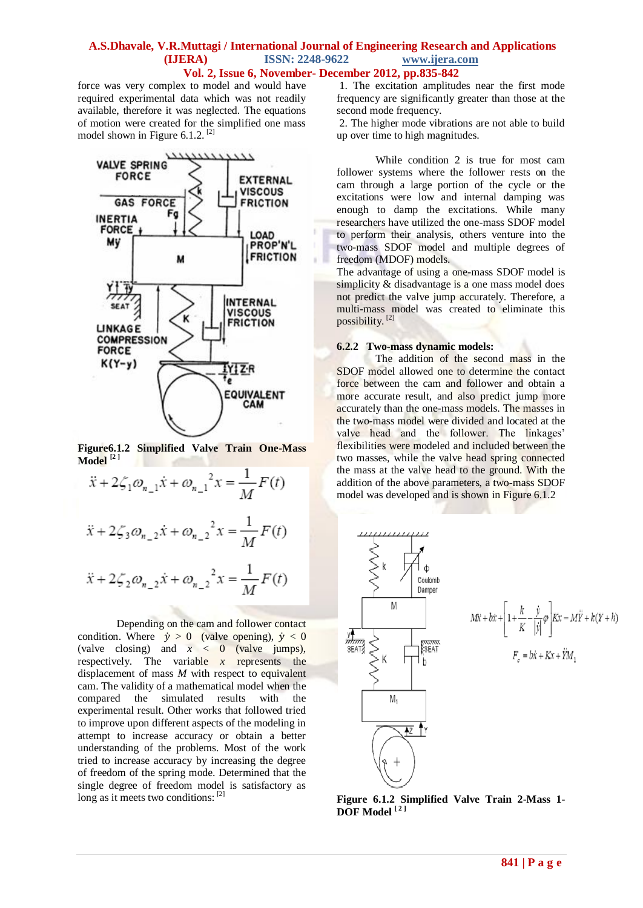force was very complex to model and would have required experimental data which was not readily available, therefore it was neglected. The equations of motion were created for the simplified one mass model shown in Figure 6.1.2. [2]



**Figure6.1.2 Simplified Valve Train One-Mass Model [2 ]**

$$
\ddot{x} + 2\zeta_1 \omega_{n-1} \dot{x} + \omega_{n-1}^2 x = \frac{1}{M} F(t)
$$
  

$$
\ddot{x} + 2\zeta_3 \omega_{n-2} \dot{x} + \omega_{n-2}^2 x = \frac{1}{M} F(t)
$$
  

$$
\ddot{x} + 2\zeta_2 \omega_{n-2} \dot{x} + \omega_{n-2}^2 x = \frac{1}{M} F(t)
$$

Depending on the cam and follower contact condition. Where  $\dot{y} > 0$  (valve opening),  $\dot{y} < 0$ (valve closing) and  $x < 0$  (valve jumps), respectively. The variable *x* represents the displacement of mass *M* with respect to equivalent cam. The validity of a mathematical model when the compared the simulated results with the experimental result. Other works that followed tried to improve upon different aspects of the modeling in attempt to increase accuracy or obtain a better understanding of the problems. Most of the work tried to increase accuracy by increasing the degree of freedom of the spring mode. Determined that the single degree of freedom model is satisfactory as long as it meets two conditions: [2]

1. The excitation amplitudes near the first mode frequency are significantly greater than those at the second mode frequency.

2. The higher mode vibrations are not able to build up over time to high magnitudes.

While condition 2 is true for most cam follower systems where the follower rests on the cam through a large portion of the cycle or the excitations were low and internal damping was enough to damp the excitations. While many researchers have utilized the one-mass SDOF model to perform their analysis, others venture into the two-mass SDOF model and multiple degrees of freedom (MDOF) models.

The advantage of using a one-mass SDOF model is simplicity & disadvantage is a one mass model does not predict the valve jump accurately. Therefore, a multi-mass model was created to eliminate this possibility.<sup>[2]</sup>

#### **6.2.2 Two-mass dynamic models:**

The addition of the second mass in the SDOF model allowed one to determine the contact force between the cam and follower and obtain a more accurate result, and also predict jump more accurately than the one-mass models. The masses in the two-mass model were divided and located at the valve head and the follower. The linkages' flexibilities were modeled and included between the two masses, while the valve head spring connected the mass at the valve head to the ground. With the addition of the above parameters, a two-mass SDOF model was developed and is shown in Figure 6.1.2



$$
M\ddot{x} + b\dot{x} + \left[1 + \frac{k}{K} - \frac{\dot{y}}{|\dot{y}|}\varphi\right]Kx = M\ddot{Y} + k(Y + h)
$$

$$
F_c = b\dot{x} + Kx + \ddot{Y}M_1
$$

**Figure 6.1.2 Simplified Valve Train 2-Mass 1- DOF Model [ <sup>2</sup> ]**